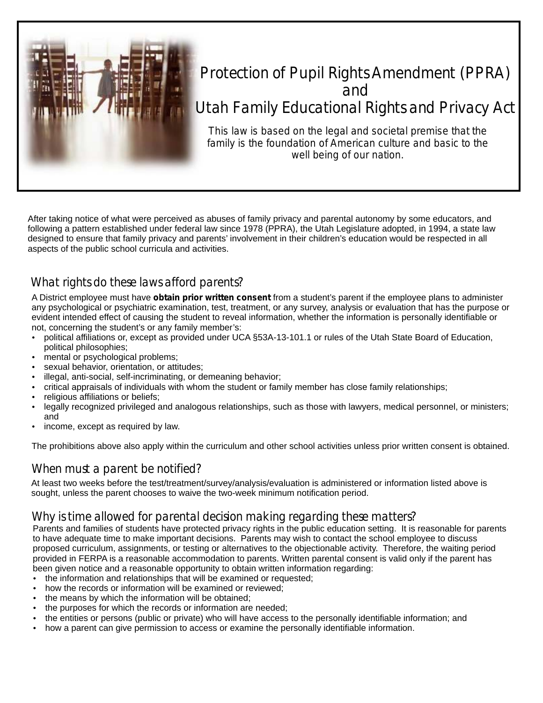

# Protection of Pupil Rights Amendment (PPRA) and Utah Family Educational Rights and Privacy Act

*This law is based on the legal and societal premise that the family is the foundation of American culture and basic to the well being of our nation.*

After taking notice of what were perceived as abuses of family privacy and parental autonomy by some educators, and following a pattern established under federal law since 1978 (PPRA), the Utah Legislature adopted, in 1994, a state law designed to ensure that family privacy and parents' involvement in their children's education would be respected in all aspects of the public school curricula and activities.

## What rights do these laws afford parents?

A District employee must have **obtain prior written consent** from a student's parent if the employee plans to administer any psychological or psychiatric examination, test, treatment, or any survey, analysis or evaluation that has the purpose or evident intended effect of causing the student to reveal information, whether the information is personally identifiable or not, concerning the student's or any family member's:

- not, concerning the student's or any family member's:<br>• political affiliations or, except as provided under U0 • political affiliations or, except as provided under UCA §53A-13-101.1 or rules of the Utah State Board of Education,<br>political philosophies;<br>• mental or psychological problems; political philosophies;
- mental or psychological problems;
- sexual behavior, orientation, or attitudes;
- illegal, anti-social, self-incriminating, or demeaning behavior;
- critical appraisals of individuals with whom the student or family member has close family relationships;
- religious affiliations or beliefs;
- sexual l<br>• illegal, a<br>• critical a<br>• religious<br>• legally r<br>• income. legally recognized privileged and analogous relationships, such as those with lawyers, medical personnel, or ministers; and
- income, except as required by law.

The prohibitions above also apply within the curriculum and other school activities unless prior written consent is obtained.

#### When must a parent be notified?

At least two weeks before the test/treatment/survey/analysis/evaluation is administered or information listed above is sought, unless the parent chooses to waive the two-week minimum notification period.

## Why is time allowed for parental decision making regarding these matters?

Parents and families of students have protected privacy rights in the public education setting. It is reasonable for parents to have adequate time to make important decisions. Parents may wish to contact the school employee to discuss proposed curriculum, assignments, or testing or alternatives to the objectionable activity. Therefore, the waiting period provided in FERPA is a reasonable accommodation to parents. Written parental consent is valid only if the parent has been given notice and a reasonable opportunity to obtain written information regarding:<br>• the information and relationships that will be examined or requested;<br>• how the records or information will be examined or reviewed:

- 
- 
- the means by which the information will be obtained;
- the purposes for which the records or information are needed;
- the purposes for which the records or information are needed;<br>• the entities or persons (public or private) who will have access • the entities or persons (public or private) who will have access to the personally identifiable information; and<br>• how a parent can give permission to access or examine the personally identifiable information.
- how a parent can give permission to access or examine the personally identifiable information.